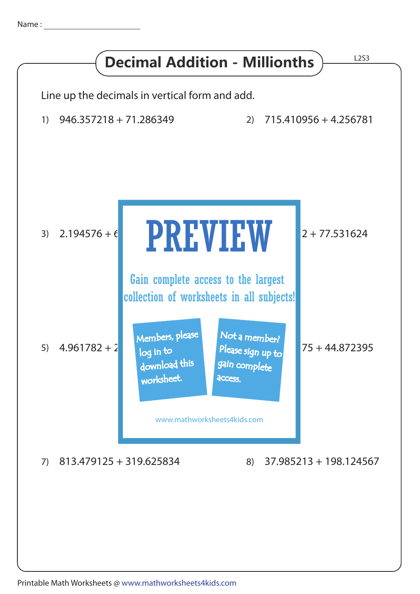